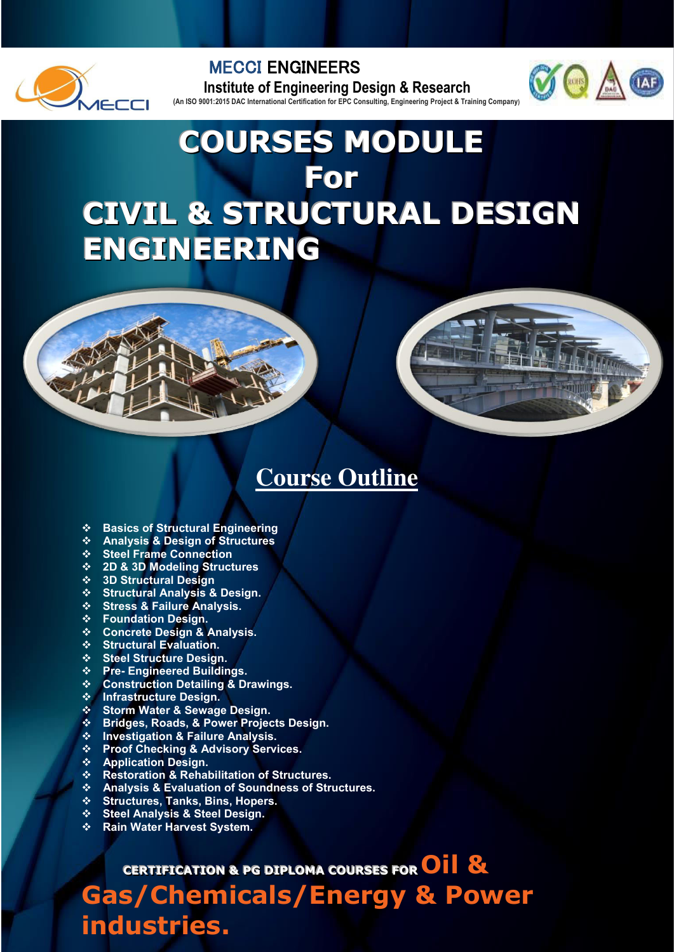

MECCI ENGINEERS **Institute of Engineering Design & Research (An ISO 9001:2015 DAC International Certification for EPC Consulting, Engineering Project & Training Company)**



# **COURSES MODULE For CIVIL & STRUCTURAL DESIGN ENGINEERING**





### **Course Outline**

- **Basics of Structural Engineering**
- **Analysis & Design of Structures**
- **Steel Frame Connection**
- **2D & 3D Modeling Structures**
- **3D Structural Design**
- **Structural Analysis & Design.**
- **Stress & Failure Analysis.**
- **Foundation Design.**
- **Concrete Design & Analysis.**
- **Structural Evaluation.**
- **Steel Structure Design.**
- **Pre- Engineered Buildings.**
- **Construction Detailing & Drawings.**
- **Infrastructure Design.**
- **Storm Water & Sewage Design.**<br>❖ Bridges, Roads, & Power Proier
- **Bridges, Roads, & Power Projects Design.**
- **Investigation & Failure Analysis.**
- **Proof Checking & Advisory Services.**
- **Application Design.**
- **Restoration & Rehabilitation of Structures.**
- **Analysis & Evaluation of Soundness of Structures.**
- **Structures, Tanks, Bins, Hopers.**
- **Steel Analysis & Steel Design.**
- **Rain Water Harvest System.**

**CERTIFICATION & PG DIPLOMA COURSES FOR 011 & Gas/Chemicals/Energy & Power industries.**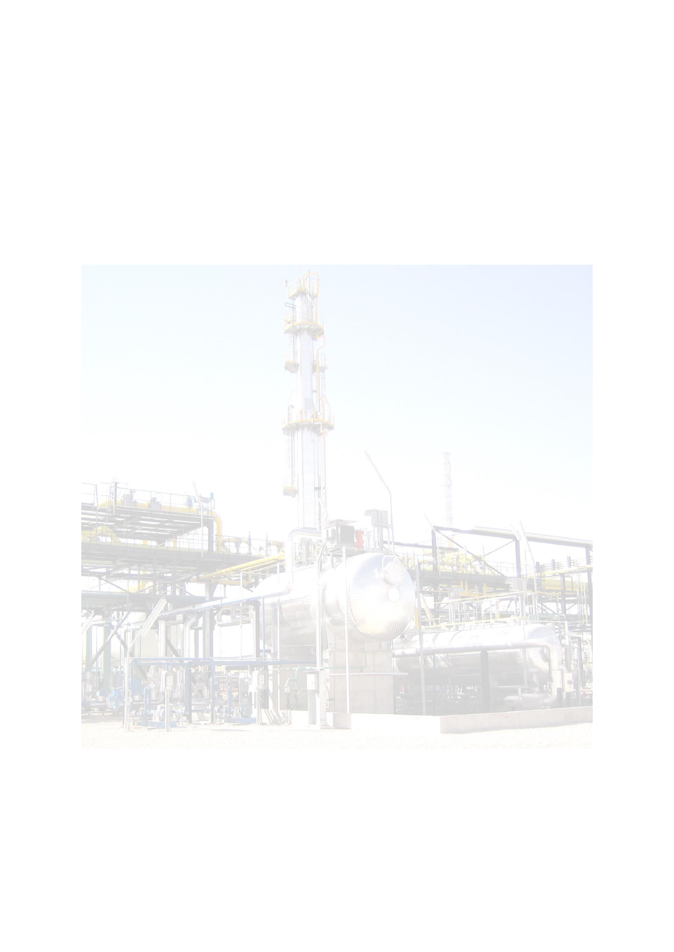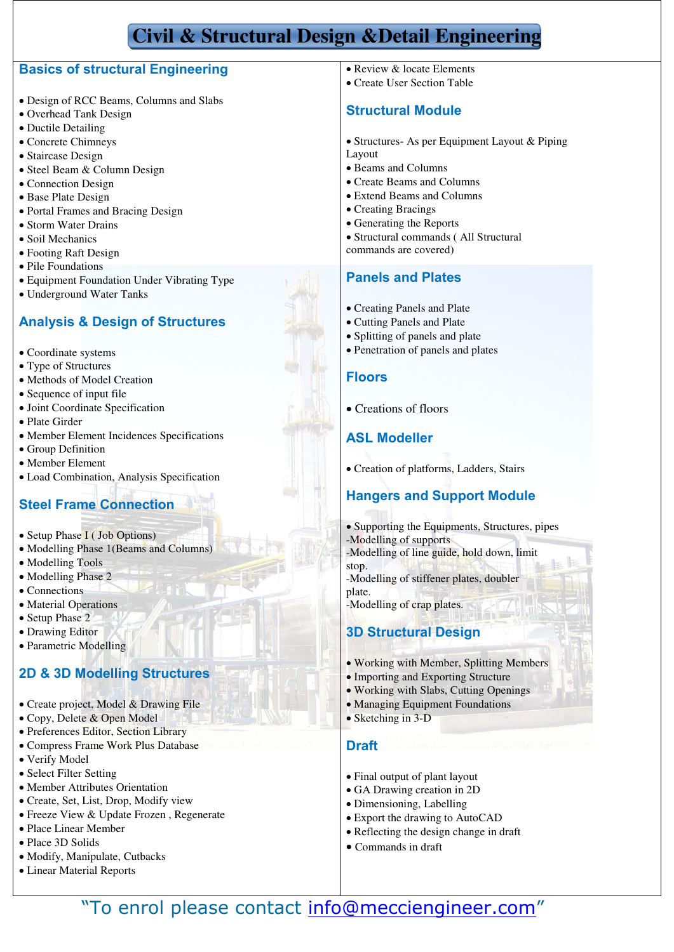## **Civil & Structural Design &Detail Engineering**

#### **Basics of structural Engineering**

- Design of RCC Beams, Columns and Slabs
- Overhead Tank Design
- Ductile Detailing
- Concrete Chimneys
- Staircase Design
- Steel Beam & Column Design
- Connection Design
- Base Plate Design
- Portal Frames and Bracing Design
- Storm Water Drains
- Soil Mechanics
- Footing Raft Design
- Pile Foundations
- Equipment Foundation Under Vibrating Type
- Underground Water Tanks

#### **Analysis & Design of Structures**

- Coordinate systems
- Type of Structures
- Methods of Model Creation
- Sequence of input file
- Joint Coordinate Specification
- Plate Girder
- Member Element Incidences Specifications
- Group Definition
- Member Element
- Load Combination, Analysis Specification

### **Steel Frame Connection**

- Setup Phase I (Job Options)
- Modelling Phase 1(Beams and Columns)
- Modelling Tools
- Modelling Phase 2
- Connections
- Material Operations
- Setup Phase 2
- Drawing Editor Parametric Modelling

#### **2D & 3D Modelling Structures**

- Create project, Model & Drawing File
- Copy, Delete & Open Model
- Preferences Editor, Section Library
- Compress Frame Work Plus Database
- Verify Model
- Select Filter Setting
- Member Attributes Orientation
- Create, Set, List, Drop, Modify view
- Freeze View & Update Frozen , Regenerate
- Place Linear Member
- Place 3D Solids
- Modify, Manipulate, Cutbacks
- Linear Material Reports
- Review & locate Elements
- Create User Section Table

#### **Structural Module**

- Structures- As per Equipment Layout & Piping Layout
- Beams and Columns
- Create Beams and Columns
- Extend Beams and Columns
- Creating Bracings
- Generating the Reports
- Structural commands ( All Structural
- commands are covered)

#### **Panels and Plates**

- Creating Panels and Plate
- Cutting Panels and Plate
- Splitting of panels and plate
- Penetration of panels and plates

#### **Floors**

Creations of floors

#### **ASL Modeller**

Creation of platforms, Ladders, Stairs

#### **Hangers and Support Module**

- Supporting the Equipments, Structures, pipes -Modelling of supports -Modelling of line guide, hold down, limit stop.
- -Modelling of stiffener plates, doubler plate.

-Modelling of crap plates.

#### **3D Structural Design**

- Working with Member, Splitting Members
- Importing and Exporting Structure
- Working with Slabs, Cutting Openings
- Managing Equipment Foundations
- Sketching in 3-D

#### **Draft**

- Final output of plant layout
- GA Drawing creation in 2D
- Dimensioning, Labelling
- Export the drawing to AutoCAD
- Reflecting the design change in draft
- Commands in draft

"To enrol please contact [info@mecciengineer.com](mailto:info@mecciengineer.com)"